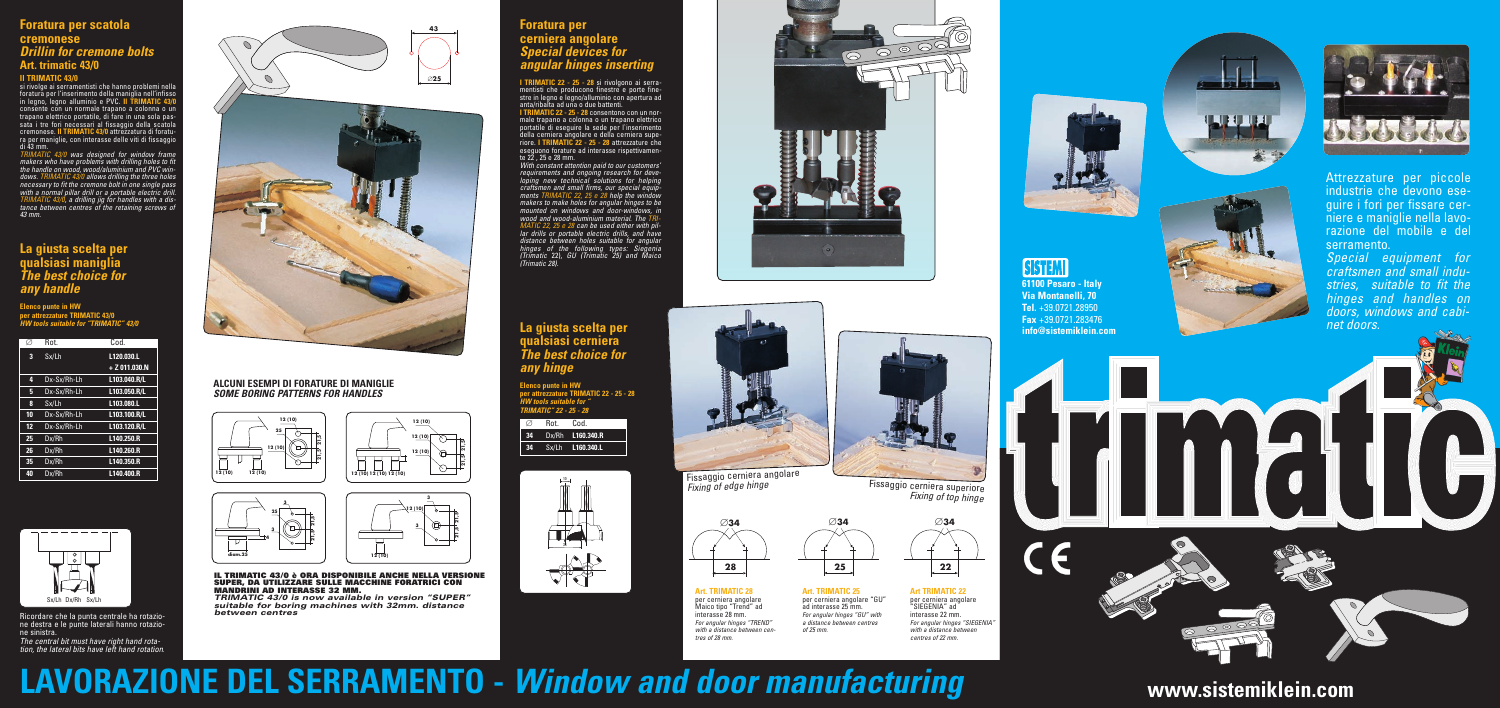$\begin{pmatrix} 1 \\ 1 \end{pmatrix}$ **61100 Pesaro - Italy Via Montanelli, 70 Tel.** +39.0721.28950 **-**





*Fixing of edge hinge* Fissaggio cerniera superiore *Fixing of top hinge*

### **Foratura per cerniera angolare** *Special devices for angular hinges inserting*

**I TRIMATIC 22 - 25 - 28** si rivolgono ai serramentisti che producono finestre e porte finestre in legno e legno/alluminio con apertura ad anta/ribalta ad una o due battenti.

**I TRIMATIC 22 - 25 - 28** consentono con un normale trapano a colonna o un trapano elettrico portatile di eseguire la sede per l`inserimento della cerniera angolare e della cerniera superiore. **I TRIMATIC 22 - 25 - 28** attrezzature che eseguono forature ad interasse rispettivamente 22 , 25 e 28 mm.

*With constant attention paid to our customers' requirements and ongoing research for developing new technical solutions for helping craftsmen and small firms, our special equipments TRIMATIC 22, 25 e 28 help the window makers to make holes for angular hinges to be mounted on windows and door-windows, in wood and wood-aluminium material. The TRI-MATIC 22, 25 e 28 can be used either with pillar drills or portable electric drills, and have distance between holes suitable for angular hinges of the following types: Siegenia (Trimatic* 22), *GU (Trimatic 25) and Maico (Trimatic 28).*

Attrezzature per piccole industrie che devono eseguire i fori per fissare cerniere e maniglie nella lavorazione del mobile e del serramento. *Special equipment for*

*craftsmen and small industries, suitable to fit the hinges and handles on doors, windows and cabinet doors.*











#### **ALCUNI ESEMPI DI FORATURE DI MANIGLIE** *SOME BORING PATTERNS FOR HANDLES*

# **Foratura per scatola cremonese** *Drillin for cremone bolts* **Art. trimatic 43/0**

#### **Il TRIMATIC 43/0**

# **info@sistemiklein.com www.sistemiklein.com**

si rivolge ai serramentisti che hanno problemi nella foratura per l'inserimento della maniglia nell'infisso in legno, legno alluminio e PVC. **Il TRIMATIC 43/0** consente con un normale trapano a colonna o un trapano elettrico portatile, di fare in una sola passata i tre fori necessari al fissaggio della scatola cremonese. **Il TRIMATIC 43/0** attrezzatura di foratura per maniglie, con interasse delle viti di fissaggio di 43 mm.

*TRIMATIC 43/0 was designed for window frame makers who have problems with drilling holes to fit the handle on wood, wood/aluminium and PVC windows. TRIMATIC 43/0 allows drilling the three holes necessary to fit the cremone bolt in one single pass with a normal pillar drill or a portable electric drill. TRIMATIC 43/0, a drilling jig for handles with a distance between centres of the retaining screws of 43 mm.*

> **IL TRIMATIC 43/0 è ORA DISPONIBILE ANCHE NELLA VERSIONE SUPER, DA UTILIZZARE SULLE MACCHINE FORATRICI CON MANDRINI AD INTERASSE 32 MM.**

*TRIMATIC 43/0 is now available in version "SUPER" suitable for boring machines with 32mm. distance between centres*







**Art TRIMATIC 22** per cerniera angolare "SIEGENIA" ad interasse 22 mm. *For angular hinges "SIEGENIA" with a distance between centres of 22 mm.*



**Elenco punte in HW per attrezzature TRIMATIC 43/0** *HW tools suitable for "TRIMATIC" 43/0*

|    | Rot.        | Cod.           |
|----|-------------|----------------|
| 3  | Sx/Lh       | L120.030.L     |
|    |             | $+ 2011.030.N$ |
| 4  | Dx-Sx/Rh-Lh | L103.040.R/L   |
| 5  | Dx-Sx/Rh-Lh | L103.050.R/L   |
| 8  | Sx/Lh       | L103.080.L     |
| 10 | Dx-Sx/Rh-Lh | L103.100.R/L   |
| 12 | Dx-Sx/Rh-Lh | L103.120.R/L   |
| 25 | Dx/Rh       | L140.250.R     |
| 26 | Dx/Rh       | L140.260.R     |
| 35 | Dx/Rh       | L140.350.R     |
| 40 | Dx/Rh       | L140.400.R     |

*tion, the lateral bits have left hand rotation*.



Ricordare che la punta centrale ha rotazio-<br>ne destra e le punte laterali hanno rotazio-<br>ne sinistra.<br>*The central bit must have right hand rota-*



**Elenco punte in HW per attrezzature TRIMATIC 22 - 25 - 28** *HW tools suitable for " TRIMATIC" 22 - 25 - 28*

| Ø               | Rot. | Cod.                    |
|-----------------|------|-------------------------|
| 34 <sub>1</sub> |      | Dx/Rh <b>L160.340.R</b> |
| 34              |      | Sx/Lh <b>L160.340.L</b> |

**61100 Pesaro - Italy Via Montanelli, 70 Tel.** +39.0721.28950 **Fax** +39.0721.283476 **info@sistemiklein.com**

**SISTEMI** 

LU U U J





**Art. TRIMATIC 28** per cerniera angolare Maico tipo "Trend" ad interasse 28 mm. *For angular hinges "TREND" with a distance between centres of 28 mm.*

#### **La giusta scelta per qualsiasi maniglia** *The best choice for any handle*

# **La giusta scelta per qualsiasi cerniera** *The best choice for any hinge*

# **LAVORAZIONE DEL SERRAMENTO -** *Window and door manufacturing*